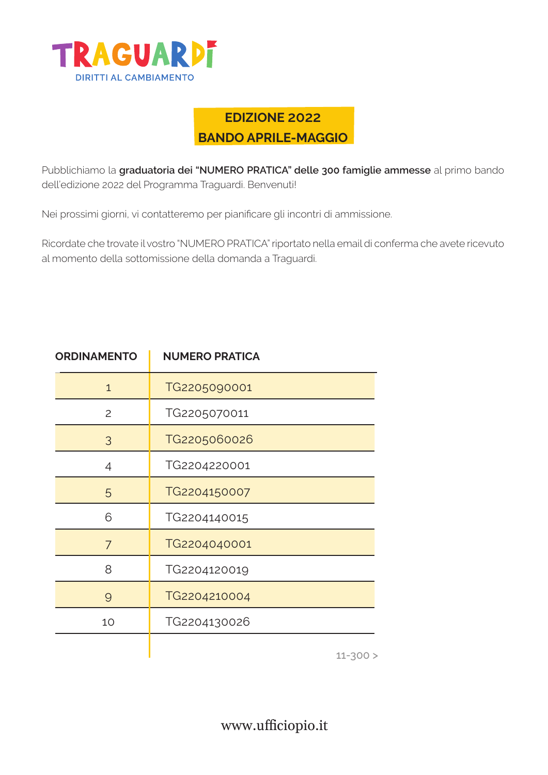

## **EDIZIONE 2022 BANDO APRILE-MAGGIO**

Pubblichiamo la **graduatoria dei "NUMERO PRATICA" delle 300 famiglie ammesse** al primo bando dell'edizione 2022 del Programma Traguardi. Benvenuti!

Nei prossimi giorni, vi contatteremo per pianificare gli incontri di ammissione.

Ricordate che trovate il vostro "NUMERO PRATICA" riportato nella email di conferma che avete ricevuto al momento della sottomissione della domanda a Traguardi.

| <b>ORDINAMENTO</b> | <b>NUMERO PRATICA</b> |
|--------------------|-----------------------|
| $\mathbf{1}$       | TG2205090001          |
| 2                  | TG2205070011          |
| 3                  | TG2205060026          |
| 4                  | TG2204220001          |
| 5                  | TG2204150007          |
| 6                  | TG2204140015          |
| 7                  | TG2204040001          |
| 8                  | TG2204120019          |
| $\Theta$           | TG2204210004          |
| 10                 | TG2204130026          |
|                    | $11 - 200 >$          |

 $11 - 300 >$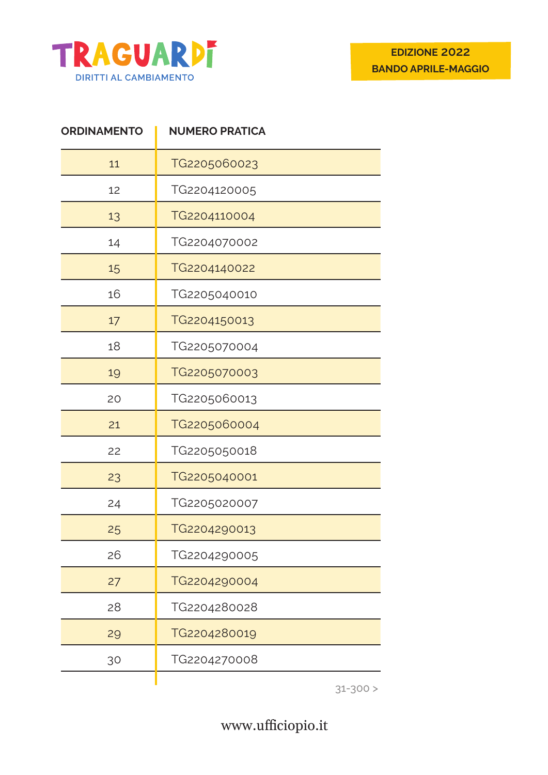

| <b>ORDINAMENTO</b> | <b>NUMERO PRATICA</b> |
|--------------------|-----------------------|
| 11                 | TG2205060023          |
| 12                 | TG2204120005          |
| 13                 | TG2204110004          |
| 14                 | TG2204070002          |
| 15                 | TG2204140022          |
| 16                 | TG2205040010          |
| 17                 | TG2204150013          |
| 18                 | TG2205070004          |
| 19                 | TG2205070003          |
| 20                 | TG2205060013          |
| 21                 | TG2205060004          |
| 22                 | TG2205050018          |
| 23                 | TG2205040001          |
| 24                 | TG2205020007          |
| 25                 | TG2204290013          |
| 26                 | TG2204290005          |
| 27                 | TG2204290004          |
| 28                 | TG2204280028          |
| 29                 | TG2204280019          |
| 30                 | TG2204270008          |
|                    |                       |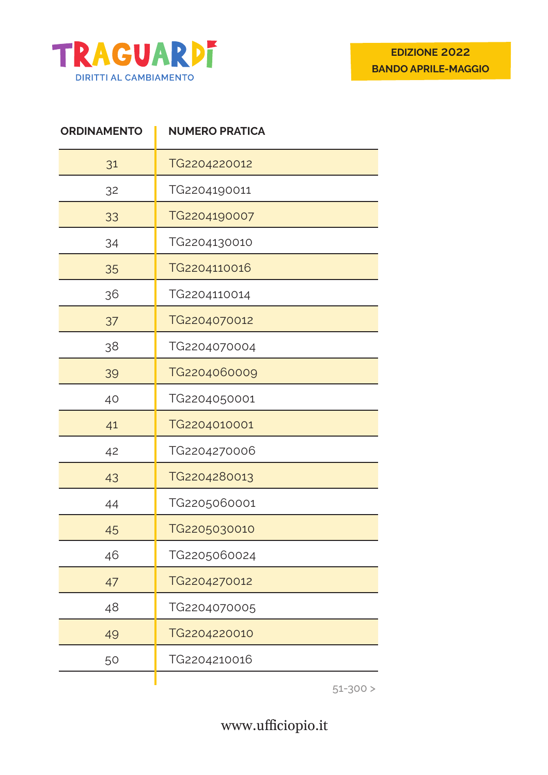

| <b>ORDINAMENTO</b> | <b>NUMERO PRATICA</b> |
|--------------------|-----------------------|
| 31                 | TG2204220012          |
| 32                 | TG2204190011          |
| 33                 | TG2204190007          |
| 34                 | TG2204130010          |
| 35                 | TG2204110016          |
| 36                 | TG2204110014          |
| 37                 | TG2204070012          |
| 38                 | TG2204070004          |
| 39                 | TG2204060009          |
| 40                 | TG2204050001          |
| 41                 | TG2204010001          |
| 42                 | TG2204270006          |
| 43                 | TG2204280013          |
| 44                 | TG2205060001          |
| 45                 | TG2205030010          |
| 46                 | TG2205060024          |
| 47                 | TG2204270012          |
| 48                 | TG2204070005          |
| 49                 | TG2204220010          |
| 50                 | TG2204210016          |
|                    |                       |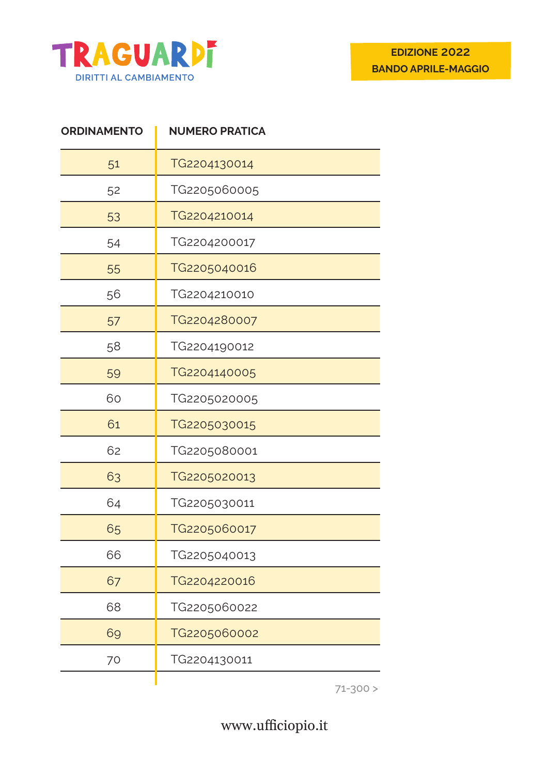

| <b>ORDINAMENTO</b> | <b>NUMERO PRATICA</b> |
|--------------------|-----------------------|
| 51                 | TG2204130014          |
| 52                 | TG2205060005          |
| 53                 | TG2204210014          |
| 54                 | TG2204200017          |
| 55                 | TG2205040016          |
| 56                 | TG2204210010          |
| 57                 | TG2204280007          |
| 58                 | TG2204190012          |
| 59                 | TG2204140005          |
| 60                 | TG2205020005          |
| 61                 | TG2205030015          |
| 62                 | TG2205080001          |
| 63                 | TG2205020013          |
| 64                 | TG2205030011          |
| 65                 | TG2205060017          |
| 66                 | TG2205040013          |
| 67                 | TG2204220016          |
| 68                 | TG2205060022          |
| 69                 | TG2205060002          |
| 70                 | TG2204130011          |
|                    |                       |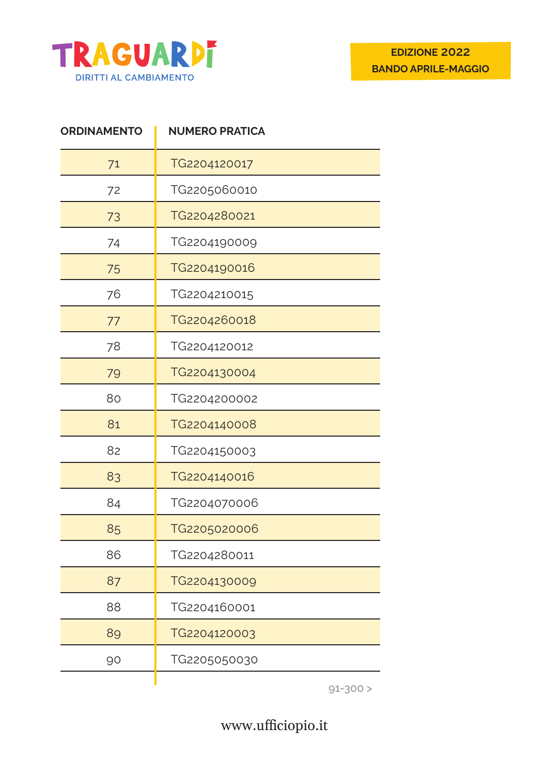

| <b>ORDINAMENTO</b> | <b>NUMERO PRATICA</b> |
|--------------------|-----------------------|
| 71                 | TG2204120017          |
| 72                 | TG2205060010          |
| 73                 | TG2204280021          |
| 74                 | TG2204190009          |
| 75                 | TG2204190016          |
| 76                 | TG2204210015          |
| 77                 | TG2204260018          |
| 78                 | TG2204120012          |
| 79                 | TG2204130004          |
| 80                 | TG2204200002          |
| 81                 | TG2204140008          |
| 82                 | TG2204150003          |
| 83                 | TG2204140016          |
| 84                 | TG2204070006          |
| 85                 | TG2205020006          |
| 86                 | TG2204280011          |
| 87                 | TG2204130009          |
| 88                 | TG2204160001          |
| 89                 | TG2204120003          |
| 90                 | TG2205050030          |
|                    |                       |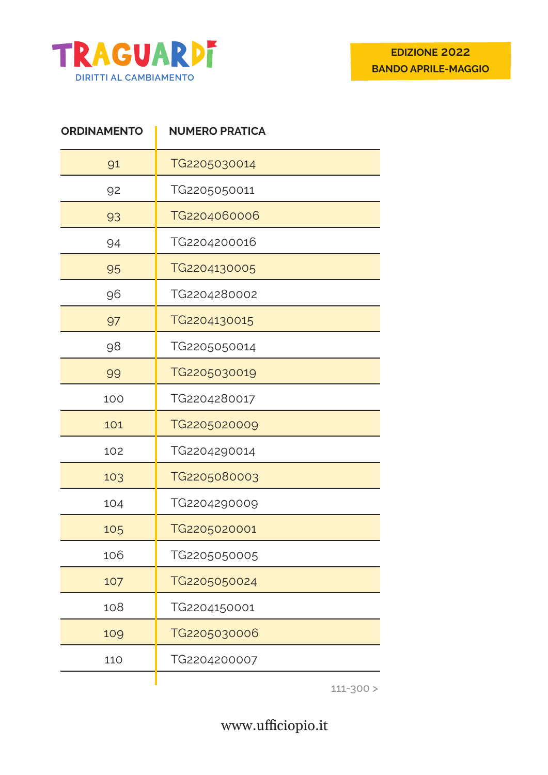

| <b>ORDINAMENTO</b> | <b>NUMERO PRATICA</b> |
|--------------------|-----------------------|
| 91                 | TG2205030014          |
| 92                 | TG2205050011          |
| 93                 | TG2204060006          |
| 94                 | TG2204200016          |
| 95                 | TG2204130005          |
| 96                 | TG2204280002          |
| 97                 | TG2204130015          |
| 98                 | TG2205050014          |
| 99                 | TG2205030019          |
| 100                | TG2204280017          |
| 101                | TG2205020009          |
| 102                | TG2204290014          |
| 103                | TG2205080003          |
| 104                | TG2204290009          |
| 105                | TG2205020001          |
| 106                | TG2205050005          |
| 107                | TG2205050024          |
| 108                | TG2204150001          |
| 109                | TG2205030006          |
| 110                | TG2204200007          |
|                    |                       |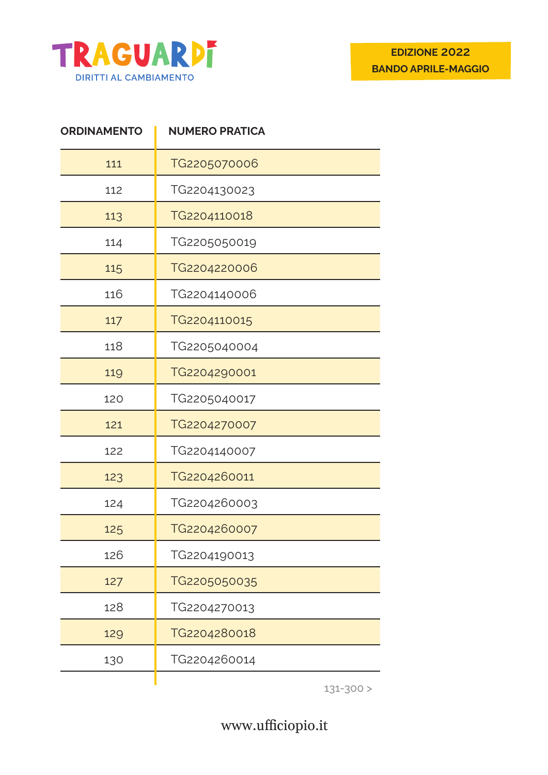

| <b>ORDINAMENTO</b> | <b>NUMERO PRATICA</b> |
|--------------------|-----------------------|
| 111                | TG2205070006          |
| 112                | TG2204130023          |
| 113                | TG2204110018          |
| 114                | TG2205050019          |
| 115                | TG2204220006          |
| 116                | TG2204140006          |
| 117                | TG2204110015          |
| 118                | TG2205040004          |
| 119                | TG2204290001          |
| 120                | TG2205040017          |
| 121                | TG2204270007          |
| 122                | TG2204140007          |
| 123                | TG2204260011          |
| 124                | TG2204260003          |
| 125                | TG2204260007          |
| 126                | TG2204190013          |
| 127                | TG2205050035          |
| 128                | TG2204270013          |
| 129                | TG2204280018          |
| 130                | TG2204260014          |
|                    |                       |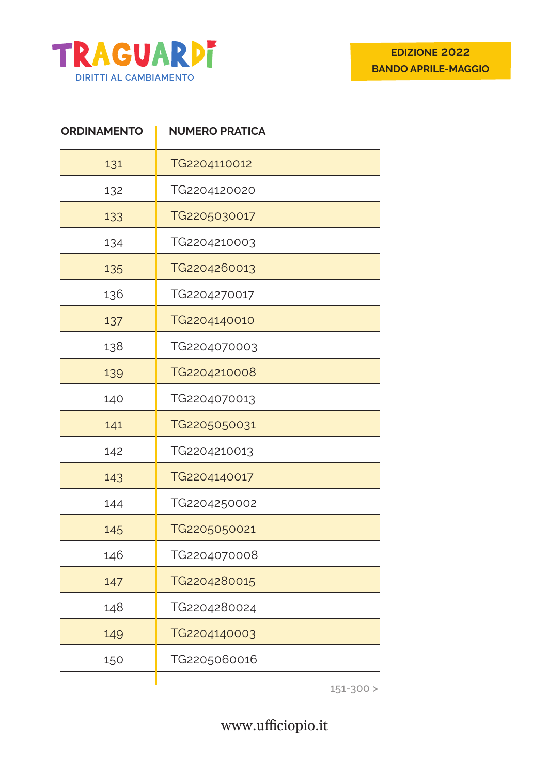

| <b>ORDINAMENTO</b> | <b>NUMERO PRATICA</b> |
|--------------------|-----------------------|
| 131                | TG2204110012          |
| 132                | TG2204120020          |
| 133                | TG2205030017          |
| 134                | TG2204210003          |
| 135                | TG2204260013          |
| 136                | TG2204270017          |
| 137                | TG2204140010          |
| 138                | TG2204070003          |
| 139                | TG2204210008          |
| 140                | TG2204070013          |
| 141                | TG2205050031          |
| 142                | TG2204210013          |
| 143                | TG2204140017          |
| 144                | TG2204250002          |
| 145                | TG2205050021          |
| 146                | TG2204070008          |
| 147                | TG2204280015          |
| 148                | TG2204280024          |
| 149                | TG2204140003          |
| 150                | TG2205060016          |
|                    |                       |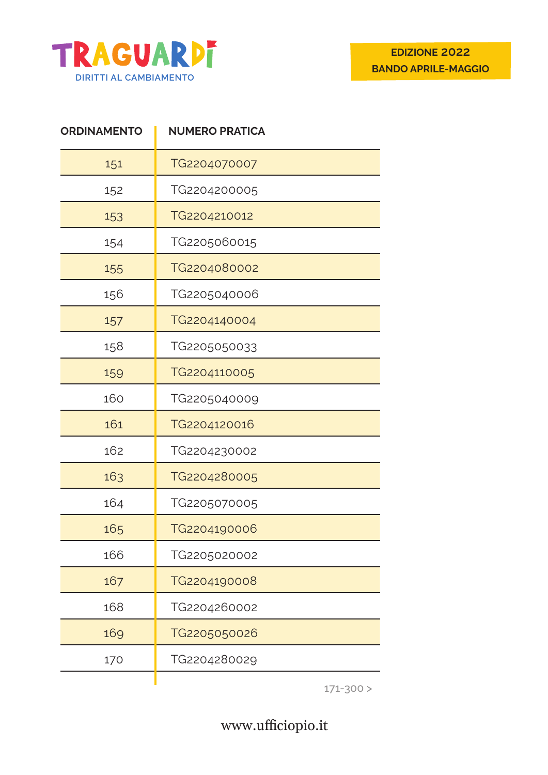

| <b>ORDINAMENTO</b> | <b>NUMERO PRATICA</b> |
|--------------------|-----------------------|
| 151                | TG2204070007          |
| 152                | TG2204200005          |
| 153                | TG2204210012          |
| 154                | TG2205060015          |
| 155                | TG2204080002          |
| 156                | TG2205040006          |
| 157                | TG2204140004          |
| 158                | TG2205050033          |
| 159                | TG2204110005          |
| 160                | TG2205040009          |
| 161                | TG2204120016          |
| 162                | TG2204230002          |
| 163                | TG2204280005          |
| 164                | TG2205070005          |
| 165                | TG2204190006          |
| 166                | TG2205020002          |
| 167                | TG2204190008          |
| 168                | TG2204260002          |
| 169                | TG2205050026          |
| 170                | TG2204280029          |
|                    |                       |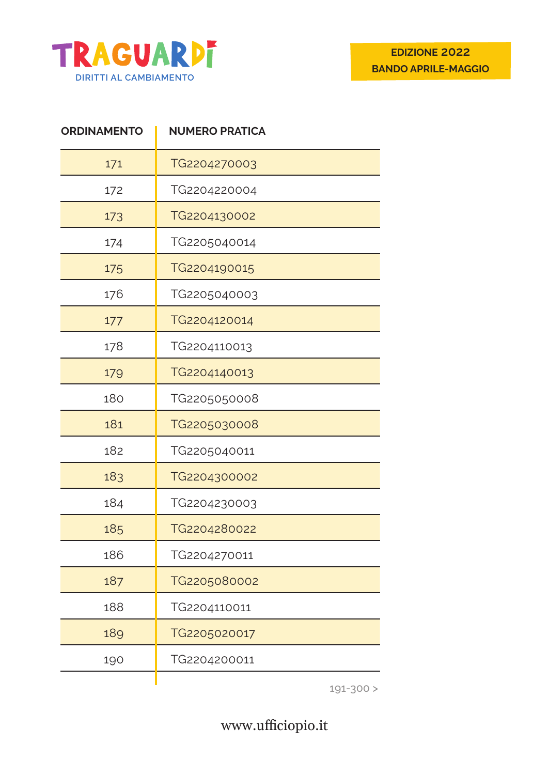

| <b>ORDINAMENTO</b> | <b>NUMERO PRATICA</b> |
|--------------------|-----------------------|
| 171                | TG2204270003          |
| 172                | TG2204220004          |
| 173                | TG2204130002          |
| 174                | TG2205040014          |
| 175                | TG2204190015          |
| 176                | TG2205040003          |
| 177                | TG2204120014          |
| 178                | TG2204110013          |
| 179                | TG2204140013          |
| 180                | TG2205050008          |
| 181                | TG2205030008          |
| 182                | TG2205040011          |
| 183                | TG2204300002          |
| 184                | TG2204230003          |
| 185                | TG2204280022          |
| 186                | TG2204270011          |
| 187                | TG2205080002          |
| 188                | TG2204110011          |
| 189                | TG2205020017          |
| 190                | TG2204200011          |
|                    |                       |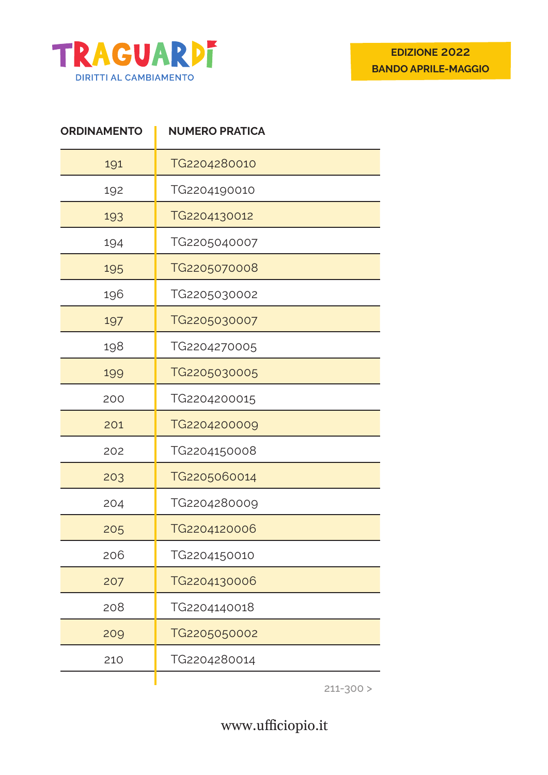

| <b>ORDINAMENTO</b> | <b>NUMERO PRATICA</b> |
|--------------------|-----------------------|
| 191                | TG2204280010          |
| 192                | TG2204190010          |
| 193                | TG2204130012          |
| 194                | TG2205040007          |
| 195                | TG2205070008          |
| 196                | TG2205030002          |
| 197                | TG2205030007          |
| 198                | TG2204270005          |
| 199                | TG2205030005          |
| 200                | TG2204200015          |
| 201                | TG2204200009          |
| 202                | TG2204150008          |
| 203                | TG2205060014          |
| 204                | TG2204280009          |
| 205                | TG2204120006          |
| 206                | TG2204150010          |
| 207                | TG2204130006          |
| 208                | TG2204140018          |
| 209                | TG2205050002          |
| 210                | TG2204280014          |
|                    |                       |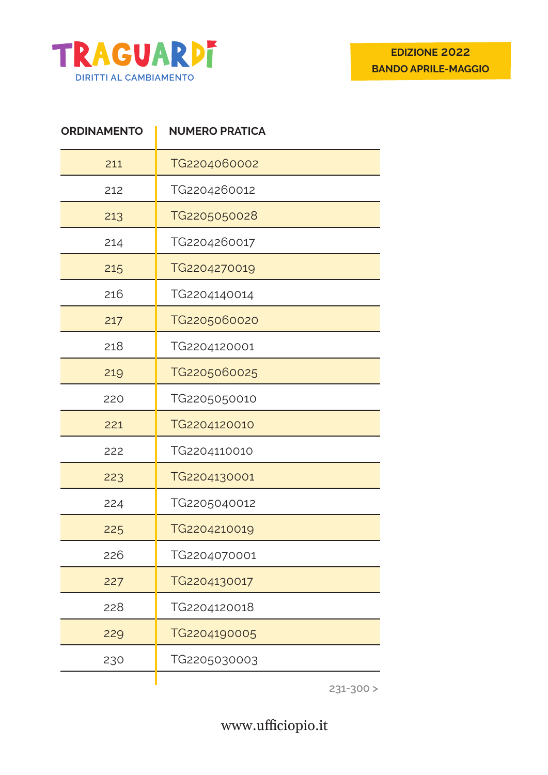

| <b>ORDINAMENTO</b> | <b>NUMERO PRATICA</b> |
|--------------------|-----------------------|
| 211                | TG2204060002          |
| 212                | TG2204260012          |
| 213                | TG2205050028          |
| 214                | TG2204260017          |
| 215                | TG2204270019          |
| 216                | TG2204140014          |
| 217                | TG2205060020          |
| 218                | TG2204120001          |
| 219                | TG2205060025          |
| 220                | TG2205050010          |
| 221                | TG2204120010          |
| 222                | TG2204110010          |
| 223                | TG2204130001          |
| 224                | TG2205040012          |
| 225                | TG2204210019          |
| 226                | TG2204070001          |
| 227                | TG2204130017          |
| 228                | TG2204120018          |
| 229                | TG2204190005          |
| 230                | TG2205030003          |
|                    |                       |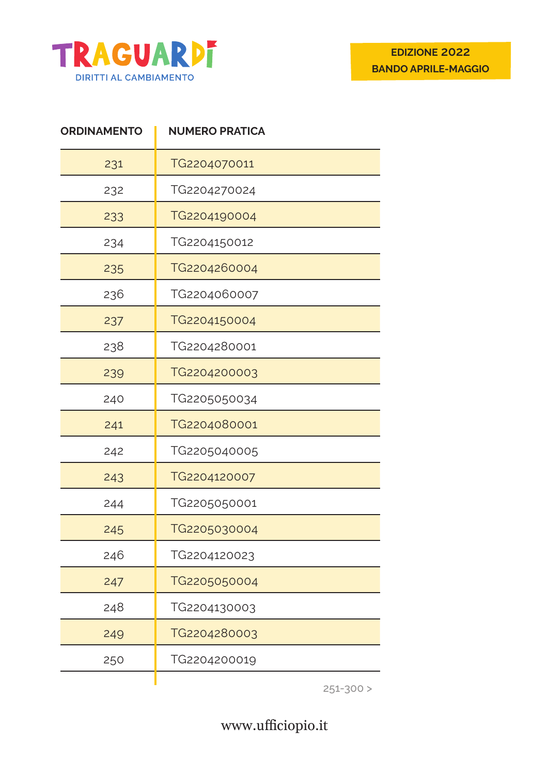

| <b>ORDINAMENTO</b> | <b>NUMERO PRATICA</b> |
|--------------------|-----------------------|
| 231                | TG2204070011          |
| 232                | TG2204270024          |
| 233                | TG2204190004          |
| 234                | TG2204150012          |
| 235                | TG2204260004          |
| 236                | TG2204060007          |
| 237                | TG2204150004          |
| 238                | TG2204280001          |
| 239                | TG2204200003          |
| 240                | TG2205050034          |
| 241                | TG2204080001          |
| 242                | TG2205040005          |
| 243                | TG2204120007          |
| 244                | TG2205050001          |
| 245                | TG2205030004          |
| 246                | TG2204120023          |
| 247                | TG2205050004          |
| 248                | TG2204130003          |
| 249                | TG2204280003          |
| 250                | TG2204200019          |
|                    |                       |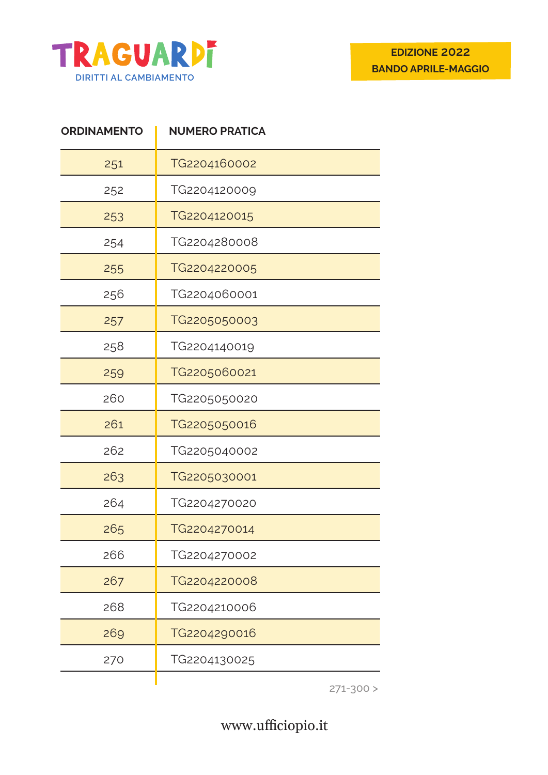

| <b>ORDINAMENTO</b> | <b>NUMERO PRATICA</b> |
|--------------------|-----------------------|
| 251                | TG2204160002          |
| 252                | TG2204120009          |
| 253                | TG2204120015          |
| 254                | TG2204280008          |
| 255                | TG2204220005          |
| 256                | TG2204060001          |
| 257                | TG2205050003          |
| 258                | TG2204140019          |
| 259                | TG2205060021          |
| 260                | TG2205050020          |
| 261                | TG2205050016          |
| 262                | TG2205040002          |
| 263                | TG2205030001          |
| 264                | TG2204270020          |
| 265                | TG2204270014          |
| 266                | TG2204270002          |
| 267                | TG2204220008          |
| 268                | TG2204210006          |
| 269                | TG2204290016          |
| 270                | TG2204130025          |
|                    |                       |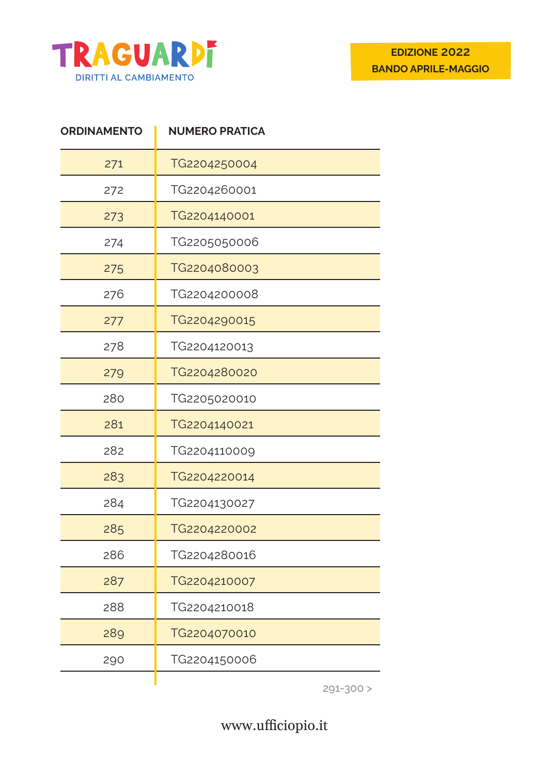

| <b>ORDINAMENTO</b> | <b>NUMERO PRATICA</b> |
|--------------------|-----------------------|
| 271                | TG2204250004          |
| 272                | TG2204260001          |
| 273                | TG2204140001          |
| 274                | TG2205050006          |
| 275                | TG2204080003          |
| 276                | TG2204200008          |
| 277                | TG2204290015          |
| 278                | TG2204120013          |
| 279                | TG2204280020          |
| 280                | TG2205020010          |
| 281                | TG2204140021          |
| 282                | TG2204110009          |
| 283                | TG2204220014          |
| 284                | TG2204130027          |
| 285                | TG2204220002          |
| 286                | TG2204280016          |
| 287                | TG2204210007          |
| 288                | TG2204210018          |
| 289                | TG2204070010          |
| 290                | TG2204150006          |
|                    |                       |